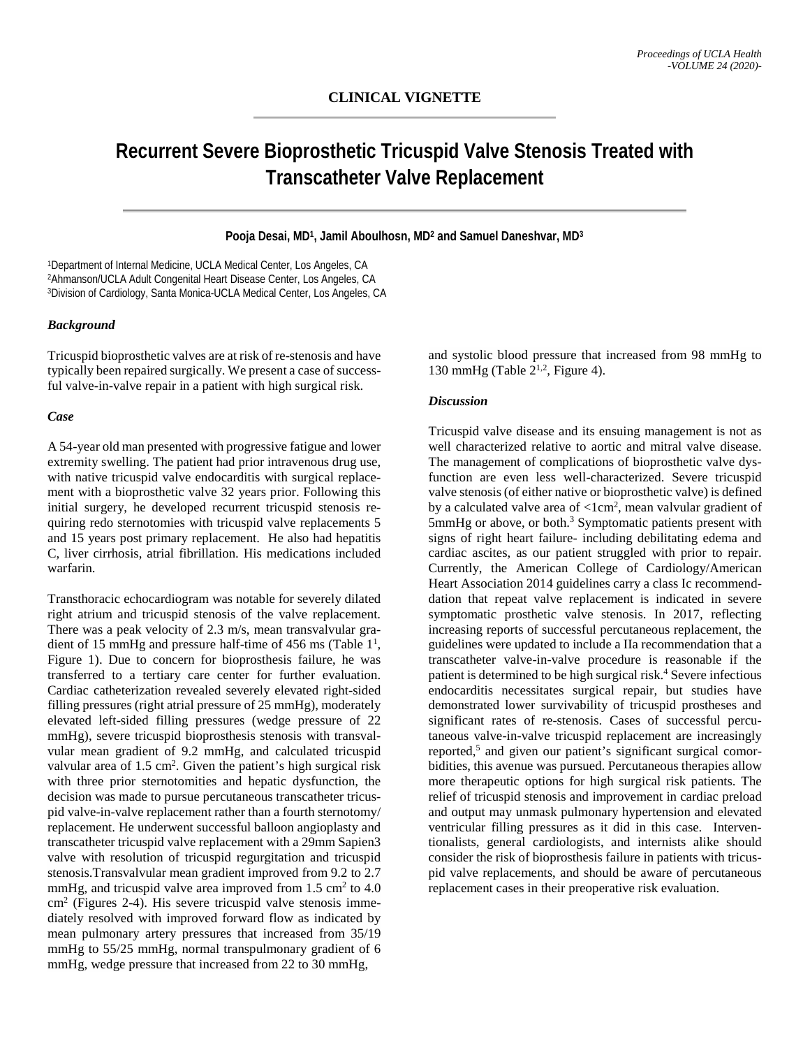# **Recurrent Severe Bioprosthetic Tricuspid Valve Stenosis Treated with Transcatheter Valve Replacement**

## **Pooja Desai, MD1, Jamil Aboulhosn, MD2 and Samuel Daneshvar, MD3**

1Department of Internal Medicine, UCLA Medical Center, Los Angeles, CA 2Ahmanson/UCLA Adult Congenital Heart Disease Center, Los Angeles, CA 3Division of Cardiology, Santa Monica-UCLA Medical Center, Los Angeles, CA

## *Background*

Tricuspid bioprosthetic valves are at risk of re-stenosis and have typically been repaired surgically. We present a case of successful valve-in-valve repair in a patient with high surgical risk.

### *Case*

A 54-year old man presented with progressive fatigue and lower extremity swelling. The patient had prior intravenous drug use, with native tricuspid valve endocarditis with surgical replacement with a bioprosthetic valve 32 years prior. Following this initial surgery, he developed recurrent tricuspid stenosis requiring redo sternotomies with tricuspid valve replacements 5 and 15 years post primary replacement. He also had hepatitis C, liver cirrhosis, atrial fibrillation. His medications included warfarin.

Transthoracic echocardiogram was notable for severely dilated right atrium and tricuspid stenosis of the valve replacement. There was a peak velocity of 2.3 m/s, mean transvalvular gradient of 15 mmHg and pressure half-time of 456 ms (Table  $1<sup>1</sup>$ , Figure 1). Due to concern for bioprosthesis failure, he was transferred to a tertiary care center for further evaluation. Cardiac catheterization revealed severely elevated right-sided filling pressures (right atrial pressure of 25 mmHg), moderately elevated left-sided filling pressures (wedge pressure of 22 mmHg), severe tricuspid bioprosthesis stenosis with transvalvular mean gradient of 9.2 mmHg, and calculated tricuspid valvular area of 1.5 cm<sup>2</sup>. Given the patient's high surgical risk with three prior sternotomities and hepatic dysfunction, the decision was made to pursue percutaneous transcatheter tricuspid valve-in-valve replacement rather than a fourth sternotomy/ replacement. He underwent successful balloon angioplasty and transcatheter tricuspid valve replacement with a 29mm Sapien3 valve with resolution of tricuspid regurgitation and tricuspid stenosis.Transvalvular mean gradient improved from 9.2 to 2.7 mmHg, and tricuspid valve area improved from  $1.5 \text{ cm}^2$  to  $4.0$ cm2 (Figures 2-4). His severe tricuspid valve stenosis immediately resolved with improved forward flow as indicated by mean pulmonary artery pressures that increased from 35/19 mmHg to 55/25 mmHg, normal transpulmonary gradient of 6 mmHg, wedge pressure that increased from 22 to 30 mmHg,

and systolic blood pressure that increased from 98 mmHg to 130 mmHg (Table  $2^{1,2}$ , Figure 4).

#### *Discussion*

Tricuspid valve disease and its ensuing management is not as well characterized relative to aortic and mitral valve disease. The management of complications of bioprosthetic valve dysfunction are even less well-characterized. Severe tricuspid valve stenosis (of either native or bioprosthetic valve) is defined by a calculated valve area of  $\langle$ 1cm<sup>2</sup>, mean valvular gradient of 5mmHg or above, or both.<sup>3</sup> Symptomatic patients present with signs of right heart failure- including debilitating edema and cardiac ascites, as our patient struggled with prior to repair. Currently, the American College of Cardiology/American Heart Association 2014 guidelines carry a class Ic recommenddation that repeat valve replacement is indicated in severe symptomatic prosthetic valve stenosis. In 2017, reflecting increasing reports of successful percutaneous replacement, the guidelines were updated to include a IIa recommendation that a transcatheter valve-in-valve procedure is reasonable if the patient is determined to be high surgical risk.<sup>4</sup> Severe infectious endocarditis necessitates surgical repair, but studies have demonstrated lower survivability of tricuspid prostheses and significant rates of re-stenosis. Cases of successful percutaneous valve-in-valve tricuspid replacement are increasingly reported,<sup>5</sup> and given our patient's significant surgical comorbidities, this avenue was pursued. Percutaneous therapies allow more therapeutic options for high surgical risk patients. The relief of tricuspid stenosis and improvement in cardiac preload and output may unmask pulmonary hypertension and elevated ventricular filling pressures as it did in this case. Interventionalists, general cardiologists, and internists alike should consider the risk of bioprosthesis failure in patients with tricuspid valve replacements, and should be aware of percutaneous replacement cases in their preoperative risk evaluation.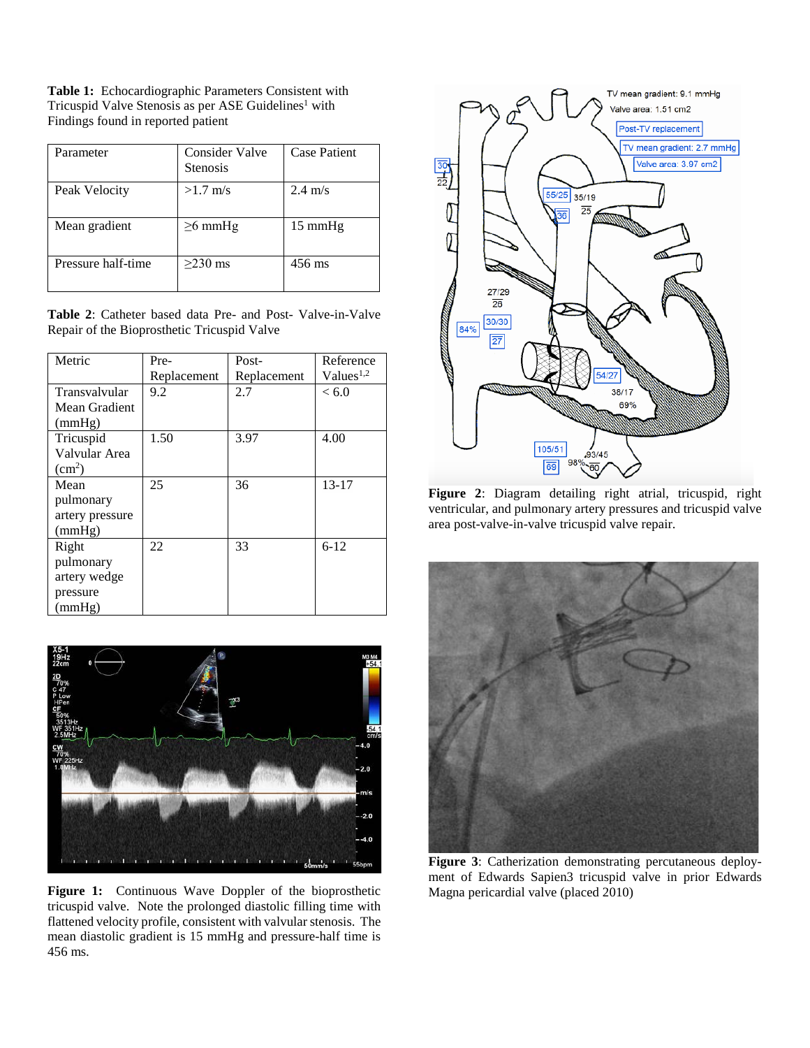**Table 1:** Echocardiographic Parameters Consistent with Tricuspid Valve Stenosis as per ASE Guidelines<sup>1</sup> with Findings found in reported patient

| Parameter          | Consider Valve<br><b>Stenosis</b> | <b>Case Patient</b> |
|--------------------|-----------------------------------|---------------------|
| Peak Velocity      | $>1.7$ m/s                        | $2.4 \text{ m/s}$   |
| Mean gradient      | $\geq 6$ mmHg                     | $15 \text{ mmHg}$   |
| Pressure half-time | $>230$ ms                         | 456 ms              |

**Table 2**: Catheter based data Pre- and Post- Valve-in-Valve Repair of the Bioprosthetic Tricuspid Valve

| Metric          | Pre-        | Post-       | Reference             |
|-----------------|-------------|-------------|-----------------------|
|                 | Replacement | Replacement | Values <sup>1,2</sup> |
| Transvalvular   | 9.2         | 2.7         | < 6.0                 |
| Mean Gradient   |             |             |                       |
| (mmHg)          |             |             |                       |
| Tricuspid       | 1.50        | 3.97        | 4.00                  |
| Valvular Area   |             |             |                       |
| $\text{cm}^2$ ) |             |             |                       |
| Mean            | 25          | 36          | $13 - 17$             |
| pulmonary       |             |             |                       |
| artery pressure |             |             |                       |
| (mmHg)          |             |             |                       |
| Right           | 22          | 33          | $6-12$                |
| pulmonary       |             |             |                       |
| artery wedge    |             |             |                       |
| pressure        |             |             |                       |
| (mmHg)          |             |             |                       |



**Figure 1:** Continuous Wave Doppler of the bioprosthetic tricuspid valve. Note the prolonged diastolic filling time with flattened velocity profile, consistent with valvular stenosis. The mean diastolic gradient is 15 mmHg and pressure-half time is 456 ms.



**Figure 2**: Diagram detailing right atrial, tricuspid, right ventricular, and pulmonary artery pressures and tricuspid valve area post-valve-in-valve tricuspid valve repair.



**Figure 3**: Catherization demonstrating percutaneous deployment of Edwards Sapien3 tricuspid valve in prior Edwards Magna pericardial valve (placed 2010)